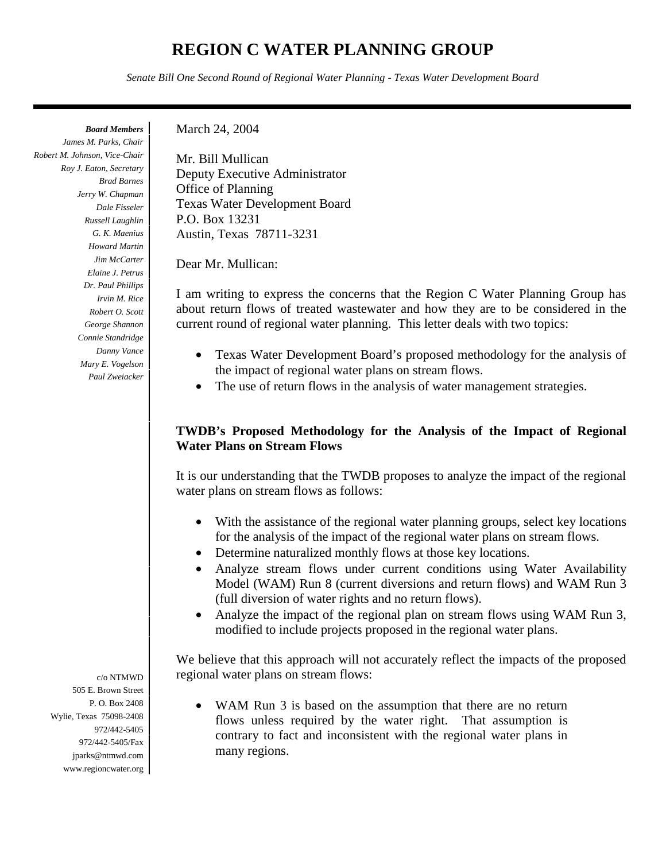# **REGION C WATER PLANNING GROUP**

*Senate Bill One Second Round of Regional Water Planning - Texas Water Development Board*

*Board Members James M. Parks, Chair Robert M. Johnson, Vice-Chair Roy J. Eaton, Secretary Brad Barnes Jerry W. Chapman Dale Fisseler Russell Laughlin G. K. Maenius Howard Martin Jim McCarter Elaine J. Petrus Dr. Paul Phillips Irvin M. Rice Robert O. Scott George Shannon Connie Standridge Danny Vance Mary E. Vogelson Paul Zweiacker*  March 24, 2004

Mr. Bill Mullican Deputy Executive Administrator Office of Planning Texas Water Development Board P.O. Box 13231 Austin, Texas 78711-3231

Dear Mr. Mullican:

I am writing to express the concerns that the Region C Water Planning Group has about return flows of treated wastewater and how they are to be considered in the current round of regional water planning. This letter deals with two topics:

- Texas Water Development Board's proposed methodology for the analysis of the impact of regional water plans on stream flows.
- The use of return flows in the analysis of water management strategies.

## **TWDB's Proposed Methodology for the Analysis of the Impact of Regional Water Plans on Stream Flows**

It is our understanding that the TWDB proposes to analyze the impact of the regional water plans on stream flows as follows:

- With the assistance of the regional water planning groups, select key locations for the analysis of the impact of the regional water plans on stream flows.
- Determine naturalized monthly flows at those key locations.
- Analyze stream flows under current conditions using Water Availability Model (WAM) Run 8 (current diversions and return flows) and WAM Run 3 (full diversion of water rights and no return flows).
- Analyze the impact of the regional plan on stream flows using WAM Run 3, modified to include projects proposed in the regional water plans.

We believe that this approach will not accurately reflect the impacts of the proposed regional water plans on stream flows:

• WAM Run 3 is based on the assumption that there are no return flows unless required by the water right. That assumption is contrary to fact and inconsistent with the regional water plans in many regions.

c/o NTMWD 505 E. Brown Street P. O. Box 2408 Wylie, Texas 75098-2408 972/442-5405 972/442-5405/Fax jparks@ntmwd.com www.regioncwater.org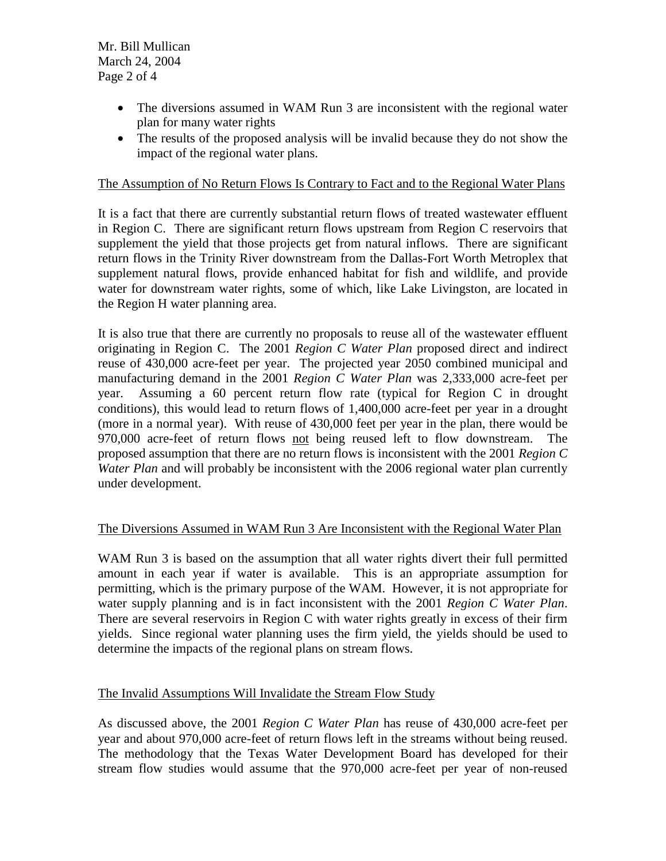Mr. Bill Mullican March 24, 2004 Page 2 of 4

- The diversions assumed in WAM Run 3 are inconsistent with the regional water plan for many water rights
- The results of the proposed analysis will be invalid because they do not show the impact of the regional water plans.

#### The Assumption of No Return Flows Is Contrary to Fact and to the Regional Water Plans

It is a fact that there are currently substantial return flows of treated wastewater effluent in Region C. There are significant return flows upstream from Region C reservoirs that supplement the yield that those projects get from natural inflows. There are significant return flows in the Trinity River downstream from the Dallas-Fort Worth Metroplex that supplement natural flows, provide enhanced habitat for fish and wildlife, and provide water for downstream water rights, some of which, like Lake Livingston, are located in the Region H water planning area.

It is also true that there are currently no proposals to reuse all of the wastewater effluent originating in Region C. The 2001 *Region C Water Plan* proposed direct and indirect reuse of 430,000 acre-feet per year. The projected year 2050 combined municipal and manufacturing demand in the 2001 *Region C Water Plan* was 2,333,000 acre-feet per year. Assuming a 60 percent return flow rate (typical for Region C in drought conditions), this would lead to return flows of 1,400,000 acre-feet per year in a drought (more in a normal year). With reuse of 430,000 feet per year in the plan, there would be 970,000 acre-feet of return flows not being reused left to flow downstream. The proposed assumption that there are no return flows is inconsistent with the 2001 *Region C Water Plan* and will probably be inconsistent with the 2006 regional water plan currently under development.

#### The Diversions Assumed in WAM Run 3 Are Inconsistent with the Regional Water Plan

WAM Run 3 is based on the assumption that all water rights divert their full permitted amount in each year if water is available. This is an appropriate assumption for permitting, which is the primary purpose of the WAM. However, it is not appropriate for water supply planning and is in fact inconsistent with the 2001 *Region C Water Plan*. There are several reservoirs in Region C with water rights greatly in excess of their firm yields. Since regional water planning uses the firm yield, the yields should be used to determine the impacts of the regional plans on stream flows.

#### The Invalid Assumptions Will Invalidate the Stream Flow Study

As discussed above, the 2001 *Region C Water Plan* has reuse of 430,000 acre-feet per year and about 970,000 acre-feet of return flows left in the streams without being reused. The methodology that the Texas Water Development Board has developed for their stream flow studies would assume that the 970,000 acre-feet per year of non-reused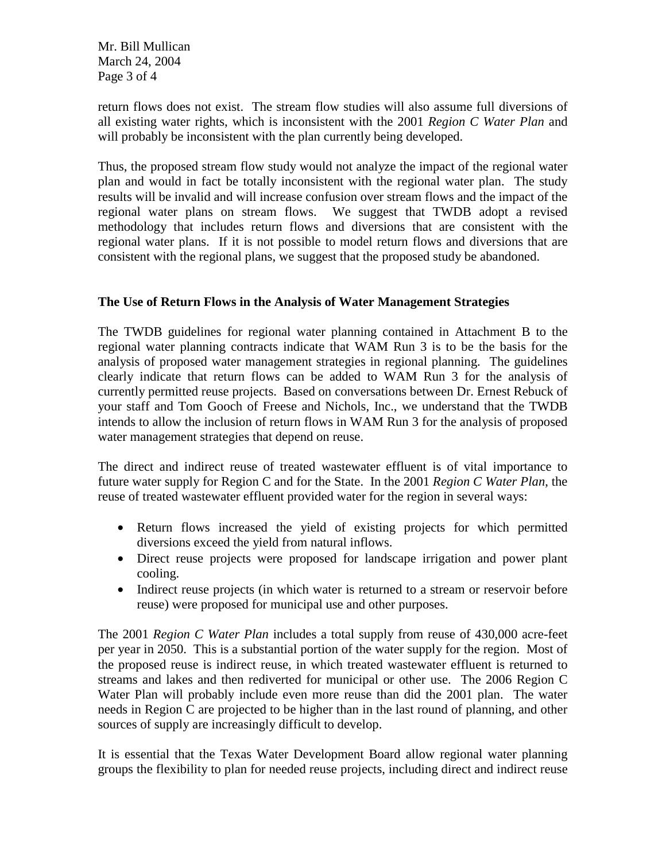Mr. Bill Mullican March 24, 2004 Page 3 of 4

return flows does not exist. The stream flow studies will also assume full diversions of all existing water rights, which is inconsistent with the 2001 *Region C Water Plan* and will probably be inconsistent with the plan currently being developed.

Thus, the proposed stream flow study would not analyze the impact of the regional water plan and would in fact be totally inconsistent with the regional water plan. The study results will be invalid and will increase confusion over stream flows and the impact of the regional water plans on stream flows. We suggest that TWDB adopt a revised methodology that includes return flows and diversions that are consistent with the regional water plans. If it is not possible to model return flows and diversions that are consistent with the regional plans, we suggest that the proposed study be abandoned.

## **The Use of Return Flows in the Analysis of Water Management Strategies**

The TWDB guidelines for regional water planning contained in Attachment B to the regional water planning contracts indicate that WAM Run 3 is to be the basis for the analysis of proposed water management strategies in regional planning. The guidelines clearly indicate that return flows can be added to WAM Run 3 for the analysis of currently permitted reuse projects. Based on conversations between Dr. Ernest Rebuck of your staff and Tom Gooch of Freese and Nichols, Inc., we understand that the TWDB intends to allow the inclusion of return flows in WAM Run 3 for the analysis of proposed water management strategies that depend on reuse.

The direct and indirect reuse of treated wastewater effluent is of vital importance to future water supply for Region C and for the State. In the 2001 *Region C Water Plan*, the reuse of treated wastewater effluent provided water for the region in several ways:

- Return flows increased the yield of existing projects for which permitted diversions exceed the yield from natural inflows.
- Direct reuse projects were proposed for landscape irrigation and power plant cooling.
- Indirect reuse projects (in which water is returned to a stream or reservoir before reuse) were proposed for municipal use and other purposes.

The 2001 *Region C Water Plan* includes a total supply from reuse of 430,000 acre-feet per year in 2050. This is a substantial portion of the water supply for the region. Most of the proposed reuse is indirect reuse, in which treated wastewater effluent is returned to streams and lakes and then rediverted for municipal or other use. The 2006 Region C Water Plan will probably include even more reuse than did the 2001 plan. The water needs in Region C are projected to be higher than in the last round of planning, and other sources of supply are increasingly difficult to develop.

It is essential that the Texas Water Development Board allow regional water planning groups the flexibility to plan for needed reuse projects, including direct and indirect reuse